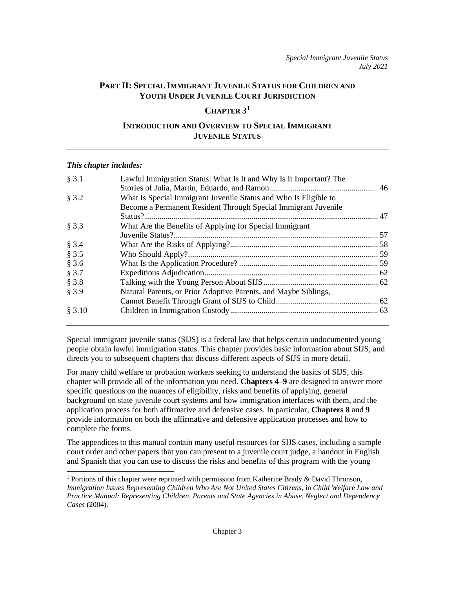# **PART II: SPECIAL IMMIGRANT JUVENILE STATUS FOR CHILDREN AND YOUTH UNDER JUVENILE COURT JURISDICTION**

# **CHAPTER 3** 1

## **INTRODUCTION AND OVERVIEW TO SPECIAL IMMIGRANT JUVENILE STATUS**

#### *This chapter includes:*

| § 3.1   | Lawful Immigration Status: What Is It and Why Is It Important? The |  |
|---------|--------------------------------------------------------------------|--|
|         |                                                                    |  |
| § 3.2   | What Is Special Immigrant Juvenile Status and Who Is Eligible to   |  |
|         | Become a Permanent Resident Through Special Immigrant Juvenile     |  |
|         |                                                                    |  |
| § 3.3   | What Are the Benefits of Applying for Special Immigrant            |  |
|         |                                                                    |  |
| § 3.4   |                                                                    |  |
| § 3.5   |                                                                    |  |
| § 3.6   |                                                                    |  |
| § 3.7   |                                                                    |  |
| $§$ 3.8 |                                                                    |  |
| § 3.9   | Natural Parents, or Prior Adoptive Parents, and Maybe Siblings,    |  |
|         |                                                                    |  |
| § 3.10  |                                                                    |  |

Special immigrant juvenile status (SIJS) is a federal law that helps certain undocumented young people obtain lawful immigration status. This chapter provides basic information about SIJS, and directs you to subsequent chapters that discuss different aspects of SIJS in more detail.

For many child welfare or probation workers seeking to understand the basics of SIJS, this chapter will provide all of the information you need. **Chapters 4**–**9** are designed to answer more specific questions on the nuances of eligibility, risks and benefits of applying, general background on state juvenile court systems and how immigration interfaces with them, and the application process for both affirmative and defensive cases. In particular, **Chapters 8** and **9** provide information on both the affirmative and defensive application processes and how to complete the forms.

The appendices to this manual contain many useful resources for SIJS cases, including a sample court order and other papers that you can present to a juvenile court judge, a handout in English and Spanish that you can use to discuss the risks and benefits of this program with the young

<sup>&</sup>lt;sup>1</sup> Portions of this chapter were reprinted with permission from Katherine Brady & David Thronson, *Immigration Issues Representing Children Who Are Not United States Citizens*, in *Child Welfare Law and Practice Manual: Representing Children, Parents and State Agencies in Abuse, Neglect and Dependency Cases* (2004).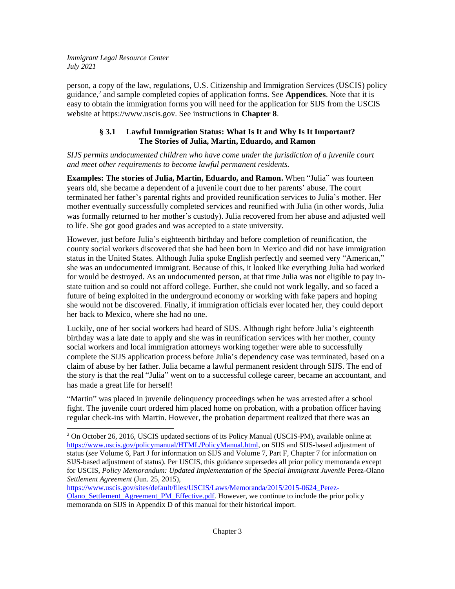person, a copy of the law, regulations, U.S. Citizenship and Immigration Services (USCIS) policy guidance,<sup>2</sup> and sample completed copies of application forms. See **Appendices**. Note that it is easy to obtain the immigration forms you will need for the application for SIJS from the USCIS website at https://www.uscis.gov. See instructions in **Chapter 8**.

## **§ 3.1 Lawful Immigration Status: What Is It and Why Is It Important? The Stories of Julia, Martin, Eduardo, and Ramon**

*SIJS permits undocumented children who have come under the jurisdiction of a juvenile court and meet other requirements to become lawful permanent residents.*

**Examples: The stories of Julia, Martin, Eduardo, and Ramon.** When "Julia" was fourteen years old, she became a dependent of a juvenile court due to her parents' abuse. The court terminated her father's parental rights and provided reunification services to Julia's mother. Her mother eventually successfully completed services and reunified with Julia (in other words, Julia was formally returned to her mother's custody). Julia recovered from her abuse and adjusted well to life. She got good grades and was accepted to a state university.

However, just before Julia's eighteenth birthday and before completion of reunification, the county social workers discovered that she had been born in Mexico and did not have immigration status in the United States. Although Julia spoke English perfectly and seemed very "American," she was an undocumented immigrant. Because of this, it looked like everything Julia had worked for would be destroyed. As an undocumented person, at that time Julia was not eligible to pay instate tuition and so could not afford college. Further, she could not work legally, and so faced a future of being exploited in the underground economy or working with fake papers and hoping she would not be discovered. Finally, if immigration officials ever located her, they could deport her back to Mexico, where she had no one.

Luckily, one of her social workers had heard of SIJS. Although right before Julia's eighteenth birthday was a late date to apply and she was in reunification services with her mother, county social workers and local immigration attorneys working together were able to successfully complete the SIJS application process before Julia's dependency case was terminated, based on a claim of abuse by her father. Julia became a lawful permanent resident through SIJS. The end of the story is that the real "Julia" went on to a successful college career, became an accountant, and has made a great life for herself!

"Martin" was placed in juvenile delinquency proceedings when he was arrested after a school fight. The juvenile court ordered him placed home on probation, with a probation officer having regular check-ins with Martin. However, the probation department realized that there was an

[https://www.uscis.gov/sites/default/files/USCIS/Laws/Memoranda/2015/2015-0624\\_Perez-](https://www.uscis.gov/sites/default/files/USCIS/Laws/Memoranda/2015/2015-0624_Perez-Olano_Settlement_Agreement_PM_Effective.pdf)[Olano\\_Settlement\\_Agreement\\_PM\\_Effective.pdf.](https://www.uscis.gov/sites/default/files/USCIS/Laws/Memoranda/2015/2015-0624_Perez-Olano_Settlement_Agreement_PM_Effective.pdf) However, we continue to include the prior policy memoranda on SIJS in Appendix D of this manual for their historical import.

<sup>&</sup>lt;sup>2</sup> On October 26, 2016, USCIS updated sections of its Policy Manual (USCIS-PM), available online at [https://www.uscis.gov/policymanual/HTML/PolicyManual.html,](https://www.uscis.gov/policymanual/HTML/PolicyManual.html) on SIJS and SIJS-based adjustment of status (*see* Volume 6, Part J for information on SIJS and Volume 7, Part F, Chapter 7 for information on SIJS-based adjustment of status). Per USCIS, this guidance supersedes all prior policy memoranda except for USCIS, *Policy Memorandum: Updated Implementation of the Special Immigrant Juvenile* Perez-Olano *Settlement Agreement* (Jun. 25, 2015),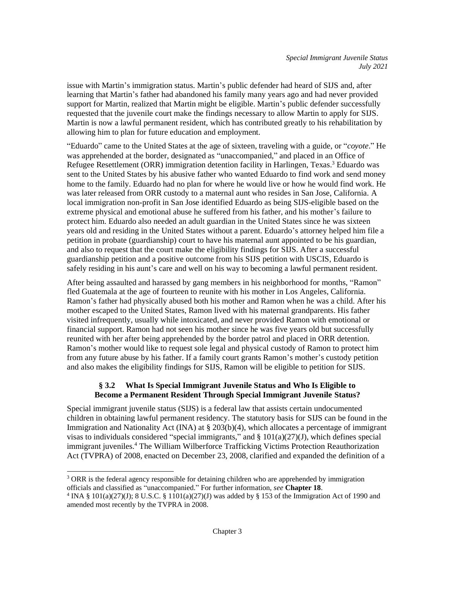issue with Martin's immigration status. Martin's public defender had heard of SIJS and, after learning that Martin's father had abandoned his family many years ago and had never provided support for Martin, realized that Martin might be eligible. Martin's public defender successfully requested that the juvenile court make the findings necessary to allow Martin to apply for SIJS. Martin is now a lawful permanent resident, which has contributed greatly to his rehabilitation by allowing him to plan for future education and employment.

"Eduardo" came to the United States at the age of sixteen, traveling with a guide, or "*coyote*." He was apprehended at the border, designated as "unaccompanied," and placed in an Office of Refugee Resettlement (ORR) immigration detention facility in Harlingen, Texas.<sup>3</sup> Eduardo was sent to the United States by his abusive father who wanted Eduardo to find work and send money home to the family. Eduardo had no plan for where he would live or how he would find work. He was later released from ORR custody to a maternal aunt who resides in San Jose, California. A local immigration non-profit in San Jose identified Eduardo as being SIJS-eligible based on the extreme physical and emotional abuse he suffered from his father, and his mother's failure to protect him. Eduardo also needed an adult guardian in the United States since he was sixteen years old and residing in the United States without a parent. Eduardo's attorney helped him file a petition in probate (guardianship) court to have his maternal aunt appointed to be his guardian, and also to request that the court make the eligibility findings for SIJS. After a successful guardianship petition and a positive outcome from his SIJS petition with USCIS, Eduardo is safely residing in his aunt's care and well on his way to becoming a lawful permanent resident.

After being assaulted and harassed by gang members in his neighborhood for months, "Ramon" fled Guatemala at the age of fourteen to reunite with his mother in Los Angeles, California. Ramon's father had physically abused both his mother and Ramon when he was a child. After his mother escaped to the United States, Ramon lived with his maternal grandparents. His father visited infrequently, usually while intoxicated, and never provided Ramon with emotional or financial support. Ramon had not seen his mother since he was five years old but successfully reunited with her after being apprehended by the border patrol and placed in ORR detention. Ramon's mother would like to request sole legal and physical custody of Ramon to protect him from any future abuse by his father. If a family court grants Ramon's mother's custody petition and also makes the eligibility findings for SIJS, Ramon will be eligible to petition for SIJS.

## **§ 3.2 What Is Special Immigrant Juvenile Status and Who Is Eligible to Become a Permanent Resident Through Special Immigrant Juvenile Status?**

Special immigrant juvenile status (SIJS) is a federal law that assists certain undocumented children in obtaining lawful permanent residency. The statutory basis for SIJS can be found in the Immigration and Nationality Act (INA) at § 203(b)(4), which allocates a percentage of immigrant visas to individuals considered "special immigrants," and  $\S 101(a)(27)(J)$ , which defines special immigrant juveniles.<sup>4</sup> The William Wilberforce Trafficking Victims Protection Reauthorization Act (TVPRA) of 2008, enacted on December 23, 2008, clarified and expanded the definition of a

 $3$  ORR is the federal agency responsible for detaining children who are apprehended by immigration officials and classified as "unaccompanied." For further information, *see* **Chapter 18**.

<sup>&</sup>lt;sup>4</sup> INA § 101(a)(27)(J); 8 U.S.C. § 1101(a)(27)(J) was added by § 153 of the Immigration Act of 1990 and amended most recently by the TVPRA in 2008.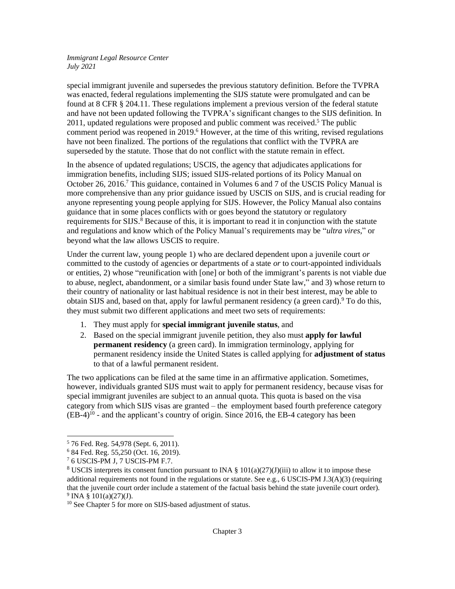special immigrant juvenile and supersedes the previous statutory definition. Before the TVPRA was enacted, federal regulations implementing the SIJS statute were promulgated and can be found at 8 CFR § 204.11. These regulations implement a previous version of the federal statute and have not been updated following the TVPRA's significant changes to the SIJS definition. In 2011, updated regulations were proposed and public comment was received.<sup>5</sup> The public comment period was reopened in  $2019<sup>6</sup>$  However, at the time of this writing, revised regulations have not been finalized. The portions of the regulations that conflict with the TVPRA are superseded by the statute. Those that do not conflict with the statute remain in effect.

In the absence of updated regulations; USCIS, the agency that adjudicates applications for immigration benefits, including SIJS; issued SIJS-related portions of its Policy Manual on October 26, 2016.<sup>7</sup> This guidance, contained in Volumes 6 and 7 of the USCIS Policy Manual is more comprehensive than any prior guidance issued by USCIS on SIJS, and is crucial reading for anyone representing young people applying for SIJS. However, the Policy Manual also contains guidance that in some places conflicts with or goes beyond the statutory or regulatory requirements for SIJS.<sup>8</sup> Because of this, it is important to read it in conjunction with the statute and regulations and know which of the Policy Manual's requirements may be "*ultra vires*," or beyond what the law allows USCIS to require.

Under the current law, young people 1) who are declared dependent upon a juvenile court *or* committed to the custody of agencies or departments of a state *or* to court-appointed individuals or entities, 2) whose "reunification with [one] or both of the immigrant's parents is not viable due to abuse, neglect, abandonment, or a similar basis found under State law," and 3) whose return to their country of nationality or last habitual residence is not in their best interest, may be able to obtain SIJS and, based on that, apply for lawful permanent residency (a green card).<sup>9</sup> To do this, they must submit two different applications and meet two sets of requirements:

- 1. They must apply for **special immigrant juvenile status**, and
- 2. Based on the special immigrant juvenile petition, they also must **apply for lawful permanent residency** (a green card). In immigration terminology, applying for permanent residency inside the United States is called applying for **adjustment of status** to that of a lawful permanent resident.

The two applications can be filed at the same time in an affirmative application. Sometimes, however, individuals granted SIJS must wait to apply for permanent residency, because visas for special immigrant juveniles are subject to an annual quota. This quota is based on the visa category from which SIJS visas are granted – the employment based fourth preference category  $(EB-4)^{10}$  - and the applicant's country of origin. Since 2016, the EB-4 category has been

<sup>5</sup> 76 Fed. Reg. 54,978 (Sept. 6, 2011).

<sup>6</sup> 84 Fed. Reg. 55,250 (Oct. 16, 2019).

<sup>7</sup> 6 USCIS-PM J, 7 USCIS-PM F.7.

<sup>&</sup>lt;sup>8</sup> USCIS interprets its consent function pursuant to INA  $\S$  101(a)(27)(J)(iii) to allow it to impose these additional requirements not found in the regulations or statute. See e.g., 6 USCIS-PM J.3(A)(3) (requiring that the juvenile court order include a statement of the factual basis behind the state juvenile court order).  $9$  INA § 101(a)(27)(J).

<sup>&</sup>lt;sup>10</sup> See Chapter 5 for more on SIJS-based adjustment of status.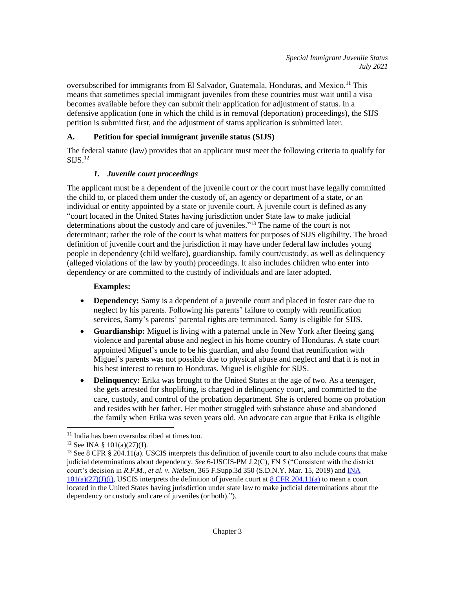oversubscribed for immigrants from El Salvador, Guatemala, Honduras, and Mexico.<sup>11</sup> This means that sometimes special immigrant juveniles from these countries must wait until a visa becomes available before they can submit their application for adjustment of status. In a defensive application (one in which the child is in removal (deportation) proceedings), the SIJS petition is submitted first, and the adjustment of status application is submitted later.

# **A. Petition for special immigrant juvenile status (SIJS)**

The federal statute (law) provides that an applicant must meet the following criteria to qualify for  $S<sub>II</sub>S<sub>12</sub>$ 

# *1. Juvenile court proceedings*

The applicant must be a dependent of the juvenile court *or* the court must have legally committed the child to, or placed them under the custody of, an agency or department of a state, *or* an individual or entity appointed by a state or juvenile court. A juvenile court is defined as any "court located in the United States having jurisdiction under State law to make judicial determinations about the custody and care of juveniles." <sup>13</sup> The name of the court is not determinant; rather the role of the court is what matters for purposes of SIJS eligibility. The broad definition of juvenile court and the jurisdiction it may have under federal law includes young people in dependency (child welfare), guardianship, family court/custody, as well as delinquency (alleged violations of the law by youth) proceedings. It also includes children who enter into dependency or are committed to the custody of individuals and are later adopted.

# **Examples:**

- **Dependency:** Samy is a dependent of a juvenile court and placed in foster care due to neglect by his parents. Following his parents' failure to comply with reunification services, Samy's parents' parental rights are terminated. Samy is eligible for SIJS.
- **Guardianship:** Miguel is living with a paternal uncle in New York after fleeing gang violence and parental abuse and neglect in his home country of Honduras. A state court appointed Miguel's uncle to be his guardian, and also found that reunification with Miguel's parents was not possible due to physical abuse and neglect and that it is not in his best interest to return to Honduras. Miguel is eligible for SIJS.
- **Delinquency:** Erika was brought to the United States at the age of two. As a teenager, she gets arrested for shoplifting, is charged in delinquency court, and committed to the care, custody, and control of the probation department. She is ordered home on probation and resides with her father. Her mother struggled with substance abuse and abandoned the family when Erika was seven years old. An advocate can argue that Erika is eligible

<sup>&</sup>lt;sup>11</sup> India has been oversubscribed at times too.

<sup>&</sup>lt;sup>12</sup> See INA § 101(a)(27)(J).

<sup>&</sup>lt;sup>13</sup> See 8 CFR § 204.11(a). USCIS interprets this definition of juvenile court to also include courts that make judicial determinations about dependency. *See* 6-USCIS-PM J.2(C), FN 5 ("Consistent with the district court's decision in *R.F.M., et al. v. Nielsen*, 365 F.Supp.3d 350 (S.D.N.Y. Mar. 15, 2019) and [INA](https://uscode.house.gov/view.xhtml?req=granuleid:USC-prelim-title8-section1101&num=0&edition=prelim)   $101(a)(27)(J)(i)$ , USCIS interprets the definition of juvenile court at  $8 \text{ CFR } 204.11(a)$  to mean a court located in the United States having jurisdiction under state law to make judicial determinations about the dependency or custody and care of juveniles (or both).").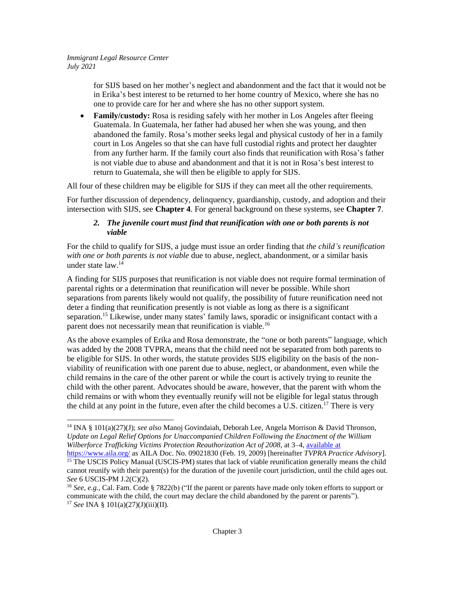for SIJS based on her mother's neglect and abandonment and the fact that it would not be in Erika's best interest to be returned to her home country of Mexico, where she has no one to provide care for her and where she has no other support system.

• **Family/custody:** Rosa is residing safely with her mother in Los Angeles after fleeing Guatemala. In Guatemala, her father had abused her when she was young, and then abandoned the family. Rosa's mother seeks legal and physical custody of her in a family court in Los Angeles so that she can have full custodial rights and protect her daughter from any further harm. If the family court also finds that reunification with Rosa's father is not viable due to abuse and abandonment and that it is not in Rosa's best interest to return to Guatemala, she will then be eligible to apply for SIJS.

All four of these children may be eligible for SIJS if they can meet all the other requirements.

For further discussion of dependency, delinquency, guardianship, custody, and adoption and their intersection with SIJS, see **Chapter 4**. For general background on these systems, see **Chapter 7**.

### *2. The juvenile court must find that reunification with one or both parents is not viable*

For the child to qualify for SIJS, a judge must issue an order finding that *the child's reunification with one or both parents is not viable* due to abuse, neglect, abandonment, or a similar basis under state law.<sup>14</sup>

A finding for SIJS purposes that reunification is not viable does not require formal termination of parental rights or a determination that reunification will never be possible. While short separations from parents likely would not qualify, the possibility of future reunification need not deter a finding that reunification presently is not viable as long as there is a significant separation.<sup>15</sup> Likewise, under many states' family laws, sporadic or insignificant contact with a parent does not necessarily mean that reunification is viable.<sup>16</sup>

As the above examples of Erika and Rosa demonstrate, the "one or both parents" language, which was added by the 2008 TVPRA, means that the child need not be separated from both parents to be eligible for SIJS. In other words, the statute provides SIJS eligibility on the basis of the nonviability of reunification with one parent due to abuse, neglect, or abandonment, even while the child remains in the care of the other parent or while the court is actively trying to reunite the child with the other parent. Advocates should be aware, however, that the parent with whom the child remains or with whom they eventually reunify will not be eligible for legal status through the child at any point in the future, even after the child becomes a U.S. citizen.<sup>17</sup> There is very

<sup>14</sup> INA § 101(a)(27)(J); *see also* Manoj Govindaiah, Deborah Lee, Angela Morrison & David Thronson, *Update on Legal Relief Options for Unaccompanied Children Following the Enactment of the William Wilberforce Trafficking Victims Protection Reauthorization Act of 2008*, at 3–4, [available](http://www.aila.org/) at

<https://www.aila.org/> as AILA Doc. No. 09021830 (Feb. 19, 2009) [hereinafter *TVPRA Practice Advisory*]. <sup>15</sup> The USCIS Policy Manual (USCIS-PM) states that lack of viable reunification generally means the child cannot reunify with their parent(s) for the duration of the juvenile court jurisdiction, until the child ages out. *See* 6 USCIS-PM J.2(C)(2).

<sup>&</sup>lt;sup>16</sup> *See, e.g.*, Cal. Fam. Code § 7822(b) ("If the parent or parents have made only token efforts to support or communicate with the child, the court may declare the child abandoned by the parent or parents"). <sup>17</sup> *See* INA § 101(a)(27)(J)(iii)(II).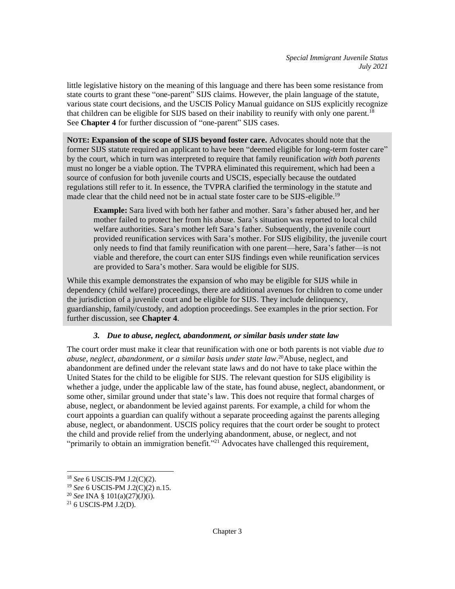little legislative history on the meaning of this language and there has been some resistance from state courts to grant these "one-parent" SIJS claims. However, the plain language of the statute, various state court decisions, and the USCIS Policy Manual guidance on SIJS explicitly recognize that children can be eligible for SIJS based on their inability to reunify with only one parent.<sup>18</sup> See **Chapter 4** for further discussion of "one-parent" SIJS cases.

**NOTE: Expansion of the scope of SIJS beyond foster care.** Advocates should note that the former SIJS statute required an applicant to have been "deemed eligible for long-term foster care" by the court, which in turn was interpreted to require that family reunification *with both parents* must no longer be a viable option. The TVPRA eliminated this requirement, which had been a source of confusion for both juvenile courts and USCIS, especially because the outdated regulations still refer to it. In essence, the TVPRA clarified the terminology in the statute and made clear that the child need not be in actual state foster care to be SIJS-eligible.<sup>19</sup>

**Example:** Sara lived with both her father and mother. Sara's father abused her, and her mother failed to protect her from his abuse. Sara's situation was reported to local child welfare authorities. Sara's mother left Sara's father. Subsequently, the juvenile court provided reunification services with Sara's mother. For SIJS eligibility, the juvenile court only needs to find that family reunification with one parent—here, Sara's father—is not viable and therefore, the court can enter SIJS findings even while reunification services are provided to Sara's mother. Sara would be eligible for SIJS.

While this example demonstrates the expansion of who may be eligible for SIJS while in dependency (child welfare) proceedings, there are additional avenues for children to come under the jurisdiction of a juvenile court and be eligible for SIJS. They include delinquency, guardianship, family/custody, and adoption proceedings. See examples in the prior section. For further discussion, see **Chapter 4**.

#### *3. Due to abuse, neglect, abandonment, or similar basis under state law*

The court order must make it clear that reunification with one or both parents is not viable *due to abuse, neglect, abandonment, or a similar basis under state law*. <sup>20</sup>Abuse, neglect, and abandonment are defined under the relevant state laws and do not have to take place within the United States for the child to be eligible for SIJS. The relevant question for SIJS eligibility is whether a judge, under the applicable law of the state, has found abuse, neglect, abandonment, or some other, similar ground under that state's law. This does not require that formal charges of abuse, neglect, or abandonment be levied against parents. For example, a child for whom the court appoints a guardian can qualify without a separate proceeding against the parents alleging abuse, neglect, or abandonment. USCIS policy requires that the court order be sought to protect the child and provide relief from the underlying abandonment, abuse, or neglect, and not "primarily to obtain an immigration benefit."<sup>21</sup> Advocates have challenged this requirement,

<sup>18</sup> *See* 6 USCIS-PM J.2(C)(2).

<sup>19</sup> *See* 6 USCIS-PM J.2(C)(2) n.15.

<sup>20</sup> *See* INA § 101(a)(27)(J)(i).

 $21$  6 USCIS-PM J.2(D).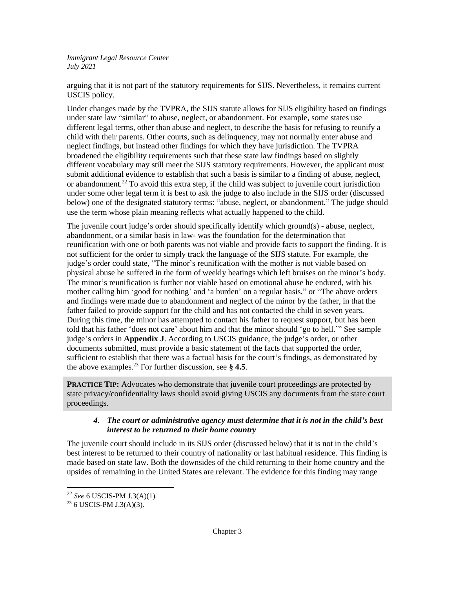arguing that it is not part of the statutory requirements for SIJS. Nevertheless, it remains current USCIS policy.

Under changes made by the TVPRA, the SIJS statute allows for SIJS eligibility based on findings under state law "similar" to abuse, neglect, or abandonment. For example, some states use different legal terms, other than abuse and neglect, to describe the basis for refusing to reunify a child with their parents. Other courts, such as delinquency, may not normally enter abuse and neglect findings, but instead other findings for which they have jurisdiction. The TVPRA broadened the eligibility requirements such that these state law findings based on slightly different vocabulary may still meet the SIJS statutory requirements. However, the applicant must submit additional evidence to establish that such a basis is similar to a finding of abuse, neglect, or abandonment.<sup>22</sup> To avoid this extra step, if the child was subject to juvenile court jurisdiction under some other legal term it is best to ask the judge to also include in the SIJS order (discussed below) one of the designated statutory terms: "abuse, neglect, or abandonment." The judge should use the term whose plain meaning reflects what actually happened to the child.

The juvenile court judge's order should specifically identify which ground(s) - abuse, neglect, abandonment, or a similar basis in law- was the foundation for the determination that reunification with one or both parents was not viable and provide facts to support the finding. It is not sufficient for the order to simply track the language of the SIJS statute. For example, the judge's order could state, "The minor's reunification with the mother is not viable based on physical abuse he suffered in the form of weekly beatings which left bruises on the minor's body. The minor's reunification is further not viable based on emotional abuse he endured, with his mother calling him 'good for nothing' and 'a burden' on a regular basis," or "The above orders and findings were made due to abandonment and neglect of the minor by the father, in that the father failed to provide support for the child and has not contacted the child in seven years. During this time, the minor has attempted to contact his father to request support, but has been told that his father 'does not care' about him and that the minor should 'go to hell.'" See sample judge's orders in **Appendix J**. According to USCIS guidance, the judge's order, or other documents submitted, must provide a basic statement of the facts that supported the order, sufficient to establish that there was a factual basis for the court's findings, as demonstrated by the above examples. <sup>23</sup> For further discussion, see **§ 4.5**.

**PRACTICE TIP:** Advocates who demonstrate that juvenile court proceedings are protected by state privacy/confidentiality laws should avoid giving USCIS any documents from the state court proceedings.

## *4. The court or administrative agency must determine that it is not in the child's best interest to be returned to their home country*

The juvenile court should include in its SIJS order (discussed below) that it is not in the child's best interest to be returned to their country of nationality or last habitual residence. This finding is made based on state law. Both the downsides of the child returning to their home country and the upsides of remaining in the United States are relevant. The evidence for this finding may range

<sup>22</sup> *See* 6 USCIS-PM J.3(A)(1).

 $23$  6 USCIS-PM J.3(A)(3).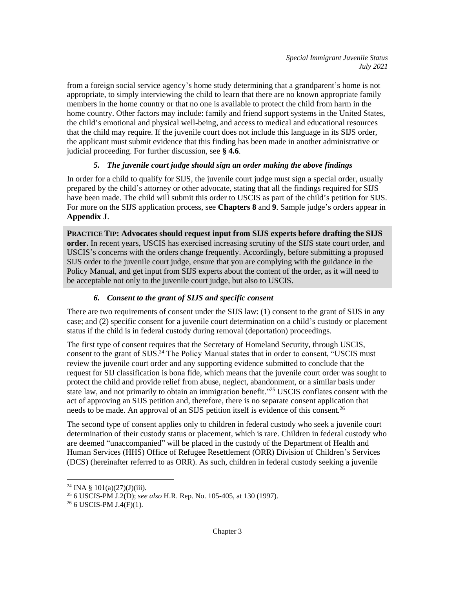from a foreign social service agency's home study determining that a grandparent's home is not appropriate, to simply interviewing the child to learn that there are no known appropriate family members in the home country or that no one is available to protect the child from harm in the home country. Other factors may include: family and friend support systems in the United States, the child's emotional and physical well-being, and access to medical and educational resources that the child may require. If the juvenile court does not include this language in its SIJS order, the applicant must submit evidence that this finding has been made in another administrative or judicial proceeding. For further discussion, see **§ 4.6**.

## *5. The juvenile court judge should sign an order making the above findings*

In order for a child to qualify for SIJS, the juvenile court judge must sign a special order, usually prepared by the child's attorney or other advocate, stating that all the findings required for SIJS have been made. The child will submit this order to USCIS as part of the child's petition for SIJS. For more on the SIJS application process, see **Chapters 8** and **9**. Sample judge's orders appear in **Appendix J**.

**PRACTICE TIP: Advocates should request input from SIJS experts before drafting the SIJS order.** In recent years, USCIS has exercised increasing scrutiny of the SIJS state court order, and USCIS's concerns with the orders change frequently. Accordingly, before submitting a proposed SIJS order to the juvenile court judge, ensure that you are complying with the guidance in the Policy Manual, and get input from SIJS experts about the content of the order, as it will need to be acceptable not only to the juvenile court judge, but also to USCIS.

# *6. Consent to the grant of SIJS and specific consent*

There are two requirements of consent under the SIJS law: (1) consent to the grant of SIJS in any case; and (2) specific consent for a juvenile court determination on a child's custody or placement status if the child is in federal custody during removal (deportation) proceedings.

The first type of consent requires that the Secretary of Homeland Security, through USCIS, consent to the grant of SIJS.<sup>24</sup> The Policy Manual states that in order to consent, "USCIS must review the juvenile court order and any supporting evidence submitted to conclude that the request for SIJ classification is bona fide, which means that the juvenile court order was sought to protect the child and provide relief from abuse, neglect, abandonment, or a similar basis under state law, and not primarily to obtain an immigration benefit."<sup>25</sup> USCIS conflates consent with the act of approving an SIJS petition and, therefore, there is no separate consent application that needs to be made. An approval of an SIJS petition itself is evidence of this consent.<sup>26</sup>

The second type of consent applies only to children in federal custody who seek a juvenile court determination of their custody status or placement, which is rare. Children in federal custody who are deemed "unaccompanied" will be placed in the custody of the Department of Health and Human Services (HHS) Office of Refugee Resettlement (ORR) Division of Children's Services (DCS) (hereinafter referred to as ORR). As such, children in federal custody seeking a juvenile

 $24$  INA § 101(a)(27)(J)(iii).

<sup>25</sup> 6 USCIS-PM J.2(D); *see also* H.R. Rep. No. 105-405, at 130 (1997).

 $26$  6 USCIS-PM J.4(F)(1).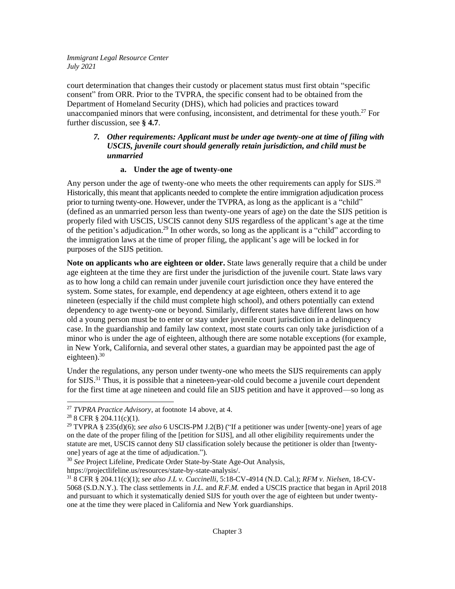court determination that changes their custody or placement status must first obtain "specific consent" from ORR. Prior to the TVPRA, the specific consent had to be obtained from the Department of Homeland Security (DHS), which had policies and practices toward unaccompanied minors that were confusing, inconsistent, and detrimental for these youth.<sup>27</sup> For further discussion, see **§ 4.7**.

### *7. Other requirements: Applicant must be under age twenty-one at time of filing with USCIS, juvenile court should generally retain jurisdiction, and child must be unmarried*

## **a. Under the age of twenty-one**

Any person under the age of twenty-one who meets the other requirements can apply for SIJS.<sup>28</sup> Historically, this meant that applicants needed to complete the entire immigration adjudication process prior to turning twenty-one. However, under the TVPRA, as long as the applicant is a "child" (defined as an unmarried person less than twenty-one years of age) on the date the SIJS petition is properly filed with USCIS, USCIS cannot deny SIJS regardless of the applicant's age at the time of the petition's adjudication.<sup>29</sup> In other words, so long as the applicant is a "child" according to the immigration laws at the time of proper filing, the applicant's age will be locked in for purposes of the SIJS petition.

**Note on applicants who are eighteen or older.** State laws generally require that a child be under age eighteen at the time they are first under the jurisdiction of the juvenile court. State laws vary as to how long a child can remain under juvenile court jurisdiction once they have entered the system. Some states, for example, end dependency at age eighteen, others extend it to age nineteen (especially if the child must complete high school), and others potentially can extend dependency to age twenty-one or beyond. Similarly, different states have different laws on how old a young person must be to enter or stay under juvenile court jurisdiction in a delinquency case. In the guardianship and family law context, most state courts can only take jurisdiction of a minor who is under the age of eighteen, although there are some notable exceptions (for example, in New York, California, and several other states, a guardian may be appointed past the age of eighteen). $30$ 

Under the regulations, any person under twenty-one who meets the SIJS requirements can apply for SIJS.<sup>31</sup> Thus, it is possible that a nineteen-year-old could become a juvenile court dependent for the first time at age nineteen and could file an SIJS petition and have it approved—so long as

<sup>30</sup> *See* Project Lifeline, Predicate Order State-by-State Age-Out Analysis,

https://projectlifeline.us/resources/state-by-state-analysis/.

<sup>27</sup> *TVPRA Practice Advisory*, at footnote 14 above, at 4.

 $28$  8 CFR § 204.11(c)(1).

<sup>29</sup> TVPRA § 235(d)(6); *see also* 6 USCIS-PM J.2(B) ("If a petitioner was under [twenty-one] years of age on the date of the proper filing of the [petition for SIJS], and all other eligibility requirements under the statute are met, USCIS cannot deny SIJ classification solely because the petitioner is older than [twentyone] years of age at the time of adjudication.").

<sup>31</sup> 8 CFR § 204.11(c)(1); *see also J.L v. Cuccinelli*, 5:18-CV-4914 (N.D. Cal.); *RFM v. Nielsen*, 18-CV-5068 (S.D.N.Y.). The class settlements in *J.L.* and *R.F.M.* ended a USCIS practice that began in April 2018 and pursuant to which it systematically denied SIJS for youth over the age of eighteen but under twentyone at the time they were placed in California and New York guardianships.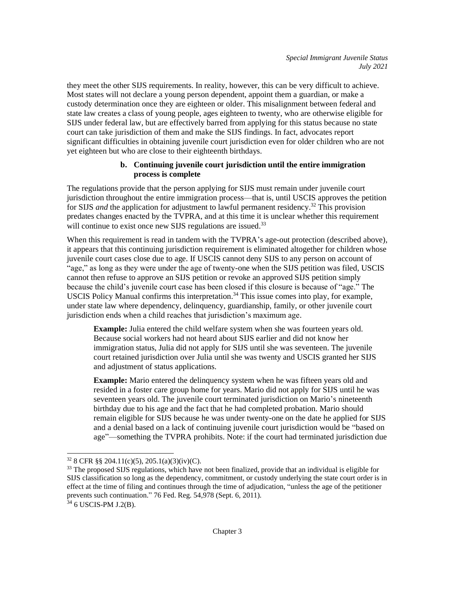they meet the other SIJS requirements. In reality, however, this can be very difficult to achieve. Most states will not declare a young person dependent, appoint them a guardian, or make a custody determination once they are eighteen or older. This misalignment between federal and state law creates a class of young people, ages eighteen to twenty, who are otherwise eligible for SIJS under federal law, but are effectively barred from applying for this status because no state court can take jurisdiction of them and make the SIJS findings. In fact, advocates report significant difficulties in obtaining juvenile court jurisdiction even for older children who are not yet eighteen but who are close to their eighteenth birthdays.

#### **b. Continuing juvenile court jurisdiction until the entire immigration process is complete**

The regulations provide that the person applying for SIJS must remain under juvenile court jurisdiction throughout the entire immigration process—that is, until USCIS approves the petition for SIJS *and* the application for adjustment to lawful permanent residency.<sup>32</sup> This provision predates changes enacted by the TVPRA, and at this time it is unclear whether this requirement will continue to exist once new SIJS regulations are issued.<sup>33</sup>

When this requirement is read in tandem with the TVPRA's age-out protection (described above), it appears that this continuing jurisdiction requirement is eliminated altogether for children whose juvenile court cases close due to age. If USCIS cannot deny SIJS to any person on account of "age," as long as they were under the age of twenty-one when the SIJS petition was filed, USCIS cannot then refuse to approve an SIJS petition or revoke an approved SIJS petition simply because the child's juvenile court case has been closed if this closure is because of "age." The USCIS Policy Manual confirms this interpretation. <sup>34</sup> This issue comes into play, for example, under state law where dependency, delinquency, guardianship, family, or other juvenile court jurisdiction ends when a child reaches that jurisdiction's maximum age.

**Example:** Julia entered the child welfare system when she was fourteen years old. Because social workers had not heard about SIJS earlier and did not know her immigration status, Julia did not apply for SIJS until she was seventeen. The juvenile court retained jurisdiction over Julia until she was twenty and USCIS granted her SIJS and adjustment of status applications.

**Example:** Mario entered the delinquency system when he was fifteen years old and resided in a foster care group home for years. Mario did not apply for SIJS until he was seventeen years old. The juvenile court terminated jurisdiction on Mario's nineteenth birthday due to his age and the fact that he had completed probation. Mario should remain eligible for SIJS because he was under twenty-one on the date he applied for SIJS and a denial based on a lack of continuing juvenile court jurisdiction would be "based on age"—something the TVPRA prohibits. Note: if the court had terminated jurisdiction due

 $32$  8 CFR §§ 204.11(c)(5), 205.1(a)(3)(iv)(C).

 $33$  The proposed SIJS regulations, which have not been finalized, provide that an individual is eligible for SIJS classification so long as the dependency, commitment, or custody underlying the state court order is in effect at the time of filing and continues through the time of adjudication, "unless the age of the petitioner prevents such continuation." 76 Fed. Reg. 54,978 (Sept. 6, 2011).

 $34$  6 USCIS-PM J.2(B).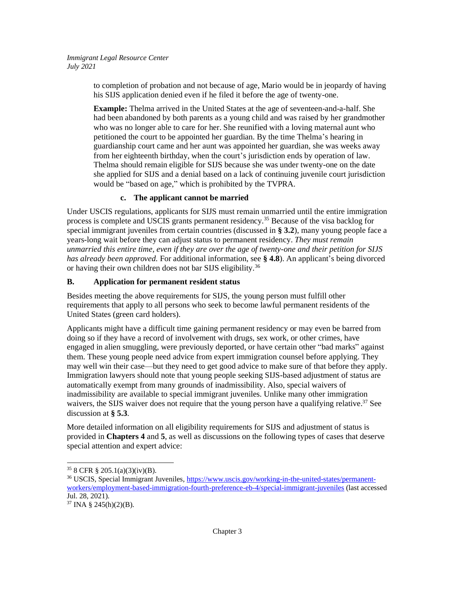to completion of probation and not because of age, Mario would be in jeopardy of having his SIJS application denied even if he filed it before the age of twenty-one.

**Example:** Thelma arrived in the United States at the age of seventeen-and-a-half. She had been abandoned by both parents as a young child and was raised by her grandmother who was no longer able to care for her. She reunified with a loving maternal aunt who petitioned the court to be appointed her guardian. By the time Thelma's hearing in guardianship court came and her aunt was appointed her guardian, she was weeks away from her eighteenth birthday, when the court's jurisdiction ends by operation of law. Thelma should remain eligible for SIJS because she was under twenty-one on the date she applied for SIJS and a denial based on a lack of continuing juvenile court jurisdiction would be "based on age," which is prohibited by the TVPRA.

# **c. The applicant cannot be married**

Under USCIS regulations, applicants for SIJS must remain unmarried until the entire immigration process is complete and USCIS grants permanent residency.<sup>35</sup> Because of the visa backlog for special immigrant juveniles from certain countries (discussed in **§ 3.2**), many young people face a years-long wait before they can adjust status to permanent residency. *They must remain unmarried this entire time, even if they are over the age of twenty-one and their petition for SIJS has already been approved.* For additional information, see **§ 4.8**). An applicant's being divorced or having their own children does not bar SIJS eligibility.<sup>36</sup>

# **B. Application for permanent resident status**

Besides meeting the above requirements for SIJS, the young person must fulfill other requirements that apply to all persons who seek to become lawful permanent residents of the United States (green card holders).

Applicants might have a difficult time gaining permanent residency or may even be barred from doing so if they have a record of involvement with drugs, sex work, or other crimes, have engaged in alien smuggling, were previously deported, or have certain other "bad marks" against them. These young people need advice from expert immigration counsel before applying. They may well win their case—but they need to get good advice to make sure of that before they apply. Immigration lawyers should note that young people seeking SIJS-based adjustment of status are automatically exempt from many grounds of inadmissibility. Also, special waivers of inadmissibility are available to special immigrant juveniles. Unlike many other immigration waivers, the SIJS waiver does not require that the young person have a qualifying relative.<sup>37</sup> See discussion at **§ 5.3**.

More detailed information on all eligibility requirements for SIJS and adjustment of status is provided in **Chapters 4** and **5**, as well as discussions on the following types of cases that deserve special attention and expert advice:

 $35$  8 CFR § 205.1(a)(3)(iv)(B).

<sup>36</sup> USCIS, Special Immigrant Juveniles, [https://www.uscis.gov/working-in-the-united-states/permanent](https://www.uscis.gov/working-in-the-united-states/permanent-workers/employment-based-immigration-fourth-preference-eb-4/special-immigrant-juveniles)[workers/employment-based-immigration-fourth-preference-eb-4/special-immigrant-juveniles](https://www.uscis.gov/working-in-the-united-states/permanent-workers/employment-based-immigration-fourth-preference-eb-4/special-immigrant-juveniles) (last accessed Jul. 28, 2021).

 $37$  INA § 245(h)(2)(B).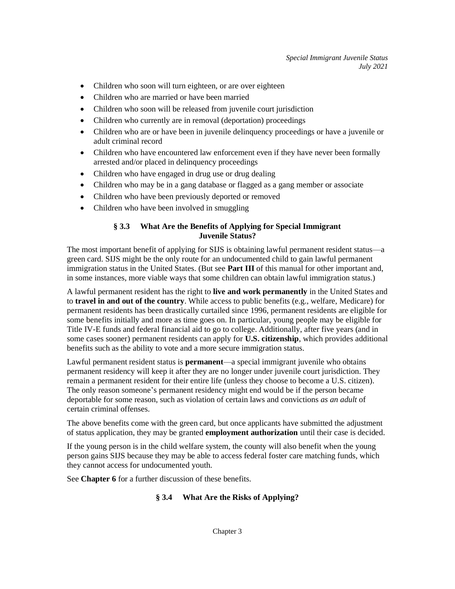- Children who soon will turn eighteen, or are over eighteen
- Children who are married or have been married
- Children who soon will be released from juvenile court jurisdiction
- Children who currently are in removal (deportation) proceedings
- Children who are or have been in juvenile delinquency proceedings or have a juvenile or adult criminal record
- Children who have encountered law enforcement even if they have never been formally arrested and/or placed in delinquency proceedings
- Children who have engaged in drug use or drug dealing
- Children who may be in a gang database or flagged as a gang member or associate
- Children who have been previously deported or removed
- Children who have been involved in smuggling

## **§ 3.3 What Are the Benefits of Applying for Special Immigrant Juvenile Status?**

The most important benefit of applying for SIJS is obtaining lawful permanent resident status—a green card. SIJS might be the only route for an undocumented child to gain lawful permanent immigration status in the United States. (But see **Part III** of this manual for other important and, in some instances, more viable ways that some children can obtain lawful immigration status.)

A lawful permanent resident has the right to **live and work permanently** in the United States and to **travel in and out of the country**. While access to public benefits (e.g., welfare, Medicare) for permanent residents has been drastically curtailed since 1996, permanent residents are eligible for some benefits initially and more as time goes on. In particular, young people may be eligible for Title IV-E funds and federal financial aid to go to college. Additionally, after five years (and in some cases sooner) permanent residents can apply for **U.S. citizenship**, which provides additional benefits such as the ability to vote and a more secure immigration status.

Lawful permanent resident status is **permanent**—a special immigrant juvenile who obtains permanent residency will keep it after they are no longer under juvenile court jurisdiction. They remain a permanent resident for their entire life (unless they choose to become a U.S. citizen). The only reason someone's permanent residency might end would be if the person became deportable for some reason, such as violation of certain laws and convictions *as an adult* of certain criminal offenses.

The above benefits come with the green card, but once applicants have submitted the adjustment of status application, they may be granted **employment authorization** until their case is decided.

If the young person is in the child welfare system, the county will also benefit when the young person gains SIJS because they may be able to access federal foster care matching funds, which they cannot access for undocumented youth.

See **Chapter 6** for a further discussion of these benefits.

# **§ 3.4 What Are the Risks of Applying?**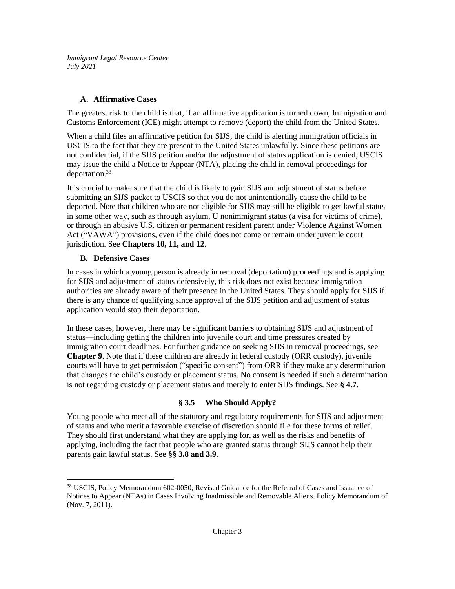# **A. Affirmative Cases**

The greatest risk to the child is that, if an affirmative application is turned down, Immigration and Customs Enforcement (ICE) might attempt to remove (deport) the child from the United States.

When a child files an affirmative petition for SIJS, the child is alerting immigration officials in USCIS to the fact that they are present in the United States unlawfully. Since these petitions are not confidential, if the SIJS petition and/or the adjustment of status application is denied, USCIS may issue the child a Notice to Appear (NTA), placing the child in removal proceedings for deportation.<sup>38</sup>

It is crucial to make sure that the child is likely to gain SIJS and adjustment of status before submitting an SIJS packet to USCIS so that you do not unintentionally cause the child to be deported. Note that children who are not eligible for SIJS may still be eligible to get lawful status in some other way, such as through asylum, U nonimmigrant status (a visa for victims of crime), or through an abusive U.S. citizen or permanent resident parent under Violence Against Women Act ("VAWA") provisions, even if the child does not come or remain under juvenile court jurisdiction. See **Chapters 10, 11, and 12**.

# **B. Defensive Cases**

In cases in which a young person is already in removal (deportation) proceedings and is applying for SIJS and adjustment of status defensively, this risk does not exist because immigration authorities are already aware of their presence in the United States. They should apply for SIJS if there is any chance of qualifying since approval of the SIJS petition and adjustment of status application would stop their deportation.

In these cases, however, there may be significant barriers to obtaining SIJS and adjustment of status—including getting the children into juvenile court and time pressures created by immigration court deadlines. For further guidance on seeking SIJS in removal proceedings, see **Chapter 9**. Note that if these children are already in federal custody (ORR custody), juvenile courts will have to get permission ("specific consent") from ORR if they make any determination that changes the child's custody or placement status. No consent is needed if such a determination is not regarding custody or placement status and merely to enter SIJS findings. See **§ 4.7**.

# **§ 3.5 Who Should Apply?**

Young people who meet all of the statutory and regulatory requirements for SIJS and adjustment of status and who merit a favorable exercise of discretion should file for these forms of relief. They should first understand what they are applying for, as well as the risks and benefits of applying, including the fact that people who are granted status through SIJS cannot help their parents gain lawful status. See **§§ 3.8 and 3.9**.

<sup>38</sup> USCIS, Policy Memorandum 602-0050, Revised Guidance for the Referral of Cases and Issuance of Notices to Appear (NTAs) in Cases Involving Inadmissible and Removable Aliens, Policy Memorandum of (Nov. 7, 2011).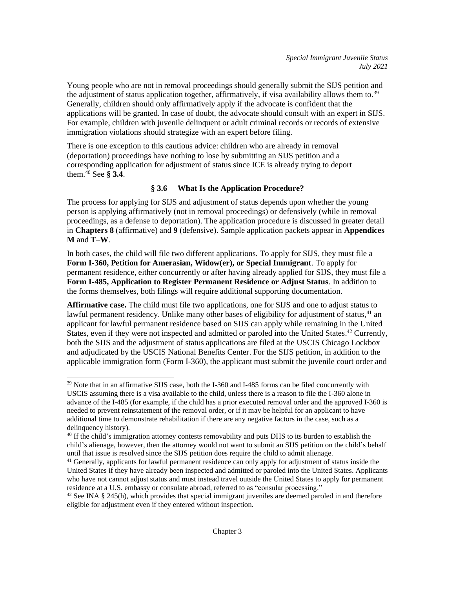Young people who are not in removal proceedings should generally submit the SIJS petition and the adjustment of status application together, affirmatively, if visa availability allows them to.<sup>39</sup> Generally, children should only affirmatively apply if the advocate is confident that the applications will be granted. In case of doubt, the advocate should consult with an expert in SIJS. For example, children with juvenile delinquent or adult criminal records or records of extensive immigration violations should strategize with an expert before filing.

There is one exception to this cautious advice: children who are already in removal (deportation) proceedings have nothing to lose by submitting an SIJS petition and a corresponding application for adjustment of status since ICE is already trying to deport them. $40$  See § 3.4.

# **§ 3.6 What Is the Application Procedure?**

The process for applying for SIJS and adjustment of status depends upon whether the young person is applying affirmatively (not in removal proceedings) or defensively (while in removal proceedings, as a defense to deportation). The application procedure is discussed in greater detail in **Chapters 8** (affirmative) and **9** (defensive). Sample application packets appear in **Appendices M** and **T**–**W**.

In both cases, the child will file two different applications. To apply for SIJS, they must file a **Form I-360, Petition for Amerasian, Widow(er), or Special Immigrant**. To apply for permanent residence, either concurrently or after having already applied for SIJS, they must file a **Form I-485, Application to Register Permanent Residence or Adjust Status**. In addition to the forms themselves, both filings will require additional supporting documentation.

**Affirmative case.** The child must file two applications, one for SIJS and one to adjust status to lawful permanent residency. Unlike many other bases of eligibility for adjustment of status,<sup>41</sup> an applicant for lawful permanent residence based on SIJS can apply while remaining in the United States, even if they were not inspected and admitted or paroled into the United States.<sup>42</sup> Currently, both the SIJS and the adjustment of status applications are filed at the USCIS Chicago Lockbox and adjudicated by the USCIS National Benefits Center. For the SIJS petition, in addition to the applicable immigration form (Form I-360), the applicant must submit the juvenile court order and

<sup>&</sup>lt;sup>39</sup> Note that in an affirmative SIJS case, both the I-360 and I-485 forms can be filed concurrently with USCIS assuming there is a visa available to the child, unless there is a reason to file the I-360 alone in advance of the I-485 (for example, if the child has a prior executed removal order and the approved I-360 is needed to prevent reinstatement of the removal order, or if it may be helpful for an applicant to have additional time to demonstrate rehabilitation if there are any negative factors in the case, such as a delinquency history).

<sup>&</sup>lt;sup>40</sup> If the child's immigration attorney contests removability and puts DHS to its burden to establish the child's alienage, however, then the attorney would not want to submit an SIJS petition on the child's behalf until that issue is resolved since the SIJS petition does require the child to admit alienage.

<sup>&</sup>lt;sup>41</sup> Generally, applicants for lawful permanent residence can only apply for adjustment of status inside the United States if they have already been inspected and admitted or paroled into the United States. Applicants who have not cannot adjust status and must instead travel outside the United States to apply for permanent residence at a U.S. embassy or consulate abroad, referred to as "consular processing."

 $42$  See INA § 245(h), which provides that special immigrant juveniles are deemed paroled in and therefore eligible for adjustment even if they entered without inspection.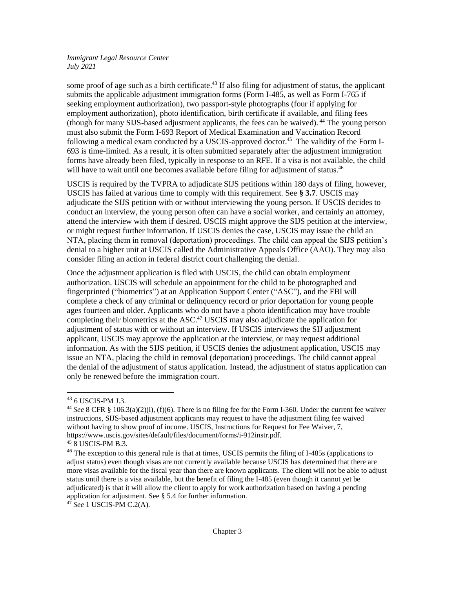some proof of age such as a birth certificate.<sup>43</sup> If also filing for adjustment of status, the applicant submits the applicable adjustment immigration forms (Form I-485, as well as Form I-765 if seeking employment authorization), two passport-style photographs (four if applying for employment authorization), photo identification, birth certificate if available, and filing fees (though for many SIJS-based adjustment applicants, the fees can be waived). <sup>44</sup> The young person must also submit the Form I-693 Report of Medical Examination and Vaccination Record following a medical exam conducted by a USCIS-approved doctor.<sup>45</sup> The validity of the Form I-693 is time-limited. As a result, it is often submitted separately after the adjustment immigration forms have already been filed, typically in response to an RFE. If a visa is not available, the child will have to wait until one becomes available before filing for adjustment of status.<sup>46</sup>

USCIS is required by the TVPRA to adjudicate SIJS petitions within 180 days of filing, however, USCIS has failed at various time to comply with this requirement. See **§ 3.7**. USCIS may adjudicate the SIJS petition with or without interviewing the young person. If USCIS decides to conduct an interview, the young person often can have a social worker, and certainly an attorney, attend the interview with them if desired. USCIS might approve the SIJS petition at the interview, or might request further information. If USCIS denies the case, USCIS may issue the child an NTA, placing them in removal (deportation) proceedings. The child can appeal the SIJS petition's denial to a higher unit at USCIS called the Administrative Appeals Office (AAO). They may also consider filing an action in federal district court challenging the denial.

Once the adjustment application is filed with USCIS, the child can obtain employment authorization. USCIS will schedule an appointment for the child to be photographed and fingerprinted ("biometrics") at an Application Support Center ("ASC"), and the FBI will complete a check of any criminal or delinquency record or prior deportation for young people ages fourteen and older. Applicants who do not have a photo identification may have trouble completing their biometrics at the ASC. <sup>47</sup> USCIS may also adjudicate the application for adjustment of status with or without an interview. If USCIS interviews the SIJ adjustment applicant, USCIS may approve the application at the interview, or may request additional information. As with the SIJS petition, if USCIS denies the adjustment application, USCIS may issue an NTA, placing the child in removal (deportation) proceedings. The child cannot appeal the denial of the adjustment of status application. Instead, the adjustment of status application can only be renewed before the immigration court.

<sup>47</sup> *See* 1 USCIS-PM C.2(A).

<sup>43</sup> 6 USCIS-PM J.3.

<sup>44</sup> *See* 8 CFR § 106.3(a)(2)(i), (f)(6). There is no filing fee for the Form I-360. Under the current fee waiver instructions, SIJS-based adjustment applicants may request to have the adjustment filing fee waived without having to show proof of income. USCIS, Instructions for Request for Fee Waiver, 7, https://www.uscis.gov/sites/default/files/document/forms/i-912instr.pdf.

<sup>45</sup> 8 USCIS-PM B.3.

<sup>&</sup>lt;sup>46</sup> The exception to this general rule is that at times, USCIS permits the filing of I-485s (applications to adjust status) even though visas are not currently available because USCIS has determined that there are more visas available for the fiscal year than there are known applicants. The client will not be able to adjust status until there is a visa available, but the benefit of filing the I-485 (even though it cannot yet be adjudicated) is that it will allow the client to apply for work authorization based on having a pending application for adjustment. See § 5.4 for further information.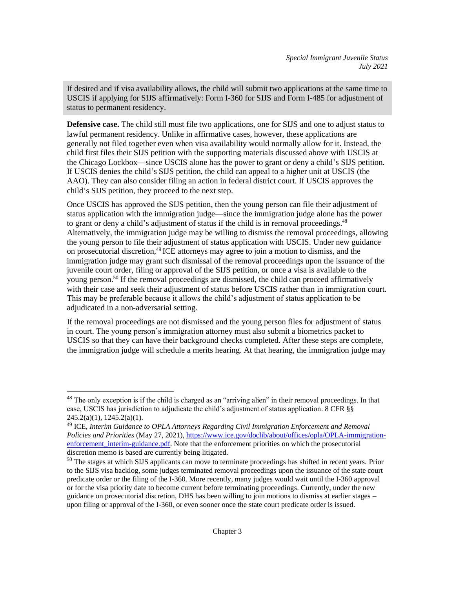If desired and if visa availability allows, the child will submit two applications at the same time to USCIS if applying for SIJS affirmatively: Form I-360 for SIJS and Form I-485 for adjustment of status to permanent residency.

**Defensive case.** The child still must file two applications, one for SIJS and one to adjust status to lawful permanent residency. Unlike in affirmative cases, however, these applications are generally not filed together even when visa availability would normally allow for it. Instead, the child first files their SIJS petition with the supporting materials discussed above with USCIS at the Chicago Lockbox—since USCIS alone has the power to grant or deny a child's SIJS petition. If USCIS denies the child's SIJS petition, the child can appeal to a higher unit at USCIS (the AAO). They can also consider filing an action in federal district court. If USCIS approves the child's SIJS petition, they proceed to the next step.

Once USCIS has approved the SIJS petition, then the young person can file their adjustment of status application with the immigration judge—since the immigration judge alone has the power to grant or deny a child's adjustment of status if the child is in removal proceedings.<sup>48</sup> Alternatively, the immigration judge may be willing to dismiss the removal proceedings, allowing the young person to file their adjustment of status application with USCIS. Under new guidance on prosecutorial discretion,<sup>49</sup> ICE attorneys may agree to join a motion to dismiss, and the immigration judge may grant such dismissal of the removal proceedings upon the issuance of the juvenile court order, filing or approval of the SIJS petition, or once a visa is available to the young person. <sup>50</sup> If the removal proceedings are dismissed, the child can proceed affirmatively with their case and seek their adjustment of status before USCIS rather than in immigration court. This may be preferable because it allows the child's adjustment of status application to be adjudicated in a non-adversarial setting.

If the removal proceedings are not dismissed and the young person files for adjustment of status in court. The young person's immigration attorney must also submit a biometrics packet to USCIS so that they can have their background checks completed. After these steps are complete, the immigration judge will schedule a merits hearing. At that hearing, the immigration judge may

 $48$  The only exception is if the child is charged as an "arriving alien" in their removal proceedings. In that case, USCIS has jurisdiction to adjudicate the child's adjustment of status application. 8 CFR §§  $245.2(a)(1)$ ,  $1245.2(a)(1)$ .

<sup>49</sup> ICE, *Interim Guidance to OPLA Attorneys Regarding Civil Immigration Enforcement and Removal Policies and Priorities* (May 27, 2021)[, https://www.ice.gov/doclib/about/offices/opla/OPLA-immigration](https://www.ice.gov/doclib/about/offices/opla/OPLA-immigration-enforcement_interim-guidance.pdf)enforcement interim-guidance.pdf. Note that the enforcement priorities on which the prosecutorial discretion memo is based are currently being litigated.

<sup>&</sup>lt;sup>50</sup> The stages at which SIJS applicants can move to terminate proceedings has shifted in recent years. Prior to the SIJS visa backlog, some judges terminated removal proceedings upon the issuance of the state court predicate order or the filing of the I-360. More recently, many judges would wait until the I-360 approval or for the visa priority date to become current before terminating proceedings. Currently, under the new guidance on prosecutorial discretion, DHS has been willing to join motions to dismiss at earlier stages – upon filing or approval of the I-360, or even sooner once the state court predicate order is issued.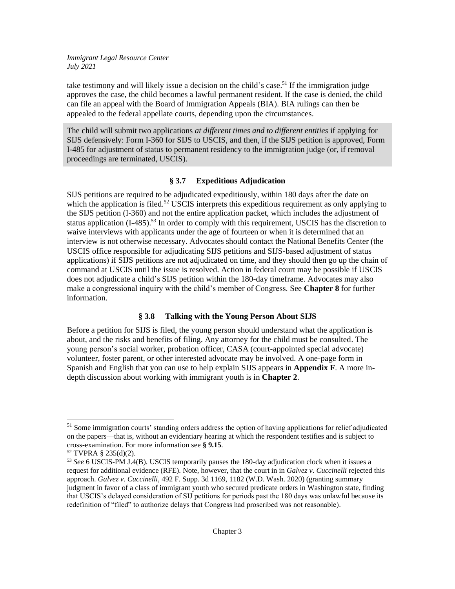take testimony and will likely issue a decision on the child's case.<sup>51</sup> If the immigration judge approves the case, the child becomes a lawful permanent resident. If the case is denied, the child can file an appeal with the Board of Immigration Appeals (BIA). BIA rulings can then be appealed to the federal appellate courts, depending upon the circumstances.

The child will submit two applications *at different times and to different entities* if applying for SIJS defensively: Form I-360 for SIJS to USCIS, and then, if the SIJS petition is approved, Form I-485 for adjustment of status to permanent residency to the immigration judge (or, if removal proceedings are terminated, USCIS).

#### **§ 3.7 Expeditious Adjudication**

SIJS petitions are required to be adjudicated expeditiously, within 180 days after the date on which the application is filed.<sup>52</sup> USCIS interprets this expeditious requirement as only applying to the SIJS petition (I-360) and not the entire application packet, which includes the adjustment of status application (I-485).<sup>53</sup> In order to comply with this requirement, USCIS has the discretion to waive interviews with applicants under the age of fourteen or when it is determined that an interview is not otherwise necessary. Advocates should contact the National Benefits Center (the USCIS office responsible for adjudicating SIJS petitions and SIJS-based adjustment of status applications) if SIJS petitions are not adjudicated on time, and they should then go up the chain of command at USCIS until the issue is resolved. Action in federal court may be possible if USCIS does not adjudicate a child's SIJS petition within the 180-day timeframe. Advocates may also make a congressional inquiry with the child's member of Congress. See **Chapter 8** for further information.

#### **§ 3.8 Talking with the Young Person About SIJS**

Before a petition for SIJS is filed, the young person should understand what the application is about, and the risks and benefits of filing. Any attorney for the child must be consulted. The young person's social worker, probation officer, CASA (court-appointed special advocate) volunteer, foster parent, or other interested advocate may be involved. A one-page form in Spanish and English that you can use to help explain SIJS appears in **Appendix F**. A more indepth discussion about working with immigrant youth is in **Chapter 2**.

<sup>&</sup>lt;sup>51</sup> Some immigration courts' standing orders address the option of having applications for relief adjudicated on the papers—that is, without an evidentiary hearing at which the respondent testifies and is subject to cross-examination. For more information see **§ 9.15**.

<sup>52</sup> TVPRA § 235(d)(2).

<sup>53</sup> *See* 6 USCIS-PM J.4(B). USCIS temporarily pauses the 180-day adjudication clock when it issues a request for additional evidence (RFE). Note, however, that the court in in *Galvez v. Cuccinelli* rejected this approach. *Galvez v. Cuccinelli,* 492 F. Supp. 3d 1169, 1182 (W.D. Wash. 2020) (granting summary judgment in favor of a class of immigrant youth who secured predicate orders in Washington state, finding that USCIS's delayed consideration of SIJ petitions for periods past the 180 days was unlawful because its redefinition of "filed" to authorize delays that Congress had proscribed was not reasonable).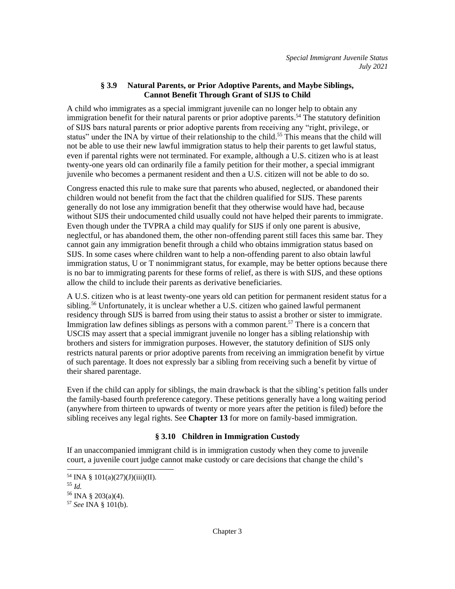#### **§ 3.9 Natural Parents, or Prior Adoptive Parents, and Maybe Siblings, Cannot Benefit Through Grant of SIJS to Child**

A child who immigrates as a special immigrant juvenile can no longer help to obtain any immigration benefit for their natural parents or prior adoptive parents.<sup>54</sup> The statutory definition of SIJS bars natural parents or prior adoptive parents from receiving any "right, privilege, or status" under the INA by virtue of their relationship to the child.<sup>55</sup> This means that the child will not be able to use their new lawful immigration status to help their parents to get lawful status, even if parental rights were not terminated. For example, although a U.S. citizen who is at least twenty-one years old can ordinarily file a family petition for their mother, a special immigrant juvenile who becomes a permanent resident and then a U.S. citizen will not be able to do so.

Congress enacted this rule to make sure that parents who abused, neglected, or abandoned their children would not benefit from the fact that the children qualified for SIJS. These parents generally do not lose any immigration benefit that they otherwise would have had, because without SIJS their undocumented child usually could not have helped their parents to immigrate. Even though under the TVPRA a child may qualify for SIJS if only one parent is abusive, neglectful, or has abandoned them, the other non-offending parent still faces this same bar. They cannot gain any immigration benefit through a child who obtains immigration status based on SIJS. In some cases where children want to help a non-offending parent to also obtain lawful immigration status, U or T nonimmigrant status, for example, may be better options because there is no bar to immigrating parents for these forms of relief, as there is with SIJS, and these options allow the child to include their parents as derivative beneficiaries.

A U.S. citizen who is at least twenty-one years old can petition for permanent resident status for a sibling.<sup>56</sup> Unfortunately, it is unclear whether a U.S. citizen who gained lawful permanent residency through SIJS is barred from using their status to assist a brother or sister to immigrate. Immigration law defines siblings as persons with a common parent.<sup>57</sup> There is a concern that USCIS may assert that a special immigrant juvenile no longer has a sibling relationship with brothers and sisters for immigration purposes. However, the statutory definition of SIJS only restricts natural parents or prior adoptive parents from receiving an immigration benefit by virtue of such parentage. It does not expressly bar a sibling from receiving such a benefit by virtue of their shared parentage.

Even if the child can apply for siblings, the main drawback is that the sibling's petition falls under the family-based fourth preference category. These petitions generally have a long waiting period (anywhere from thirteen to upwards of twenty or more years after the petition is filed) before the sibling receives any legal rights. See **Chapter 13** for more on family-based immigration.

#### **§ 3.10 Children in Immigration Custody**

If an unaccompanied immigrant child is in immigration custody when they come to juvenile court, a juvenile court judge cannot make custody or care decisions that change the child's

 $54$  INA § 101(a)(27)(J)(iii)(II).

<sup>55</sup> *Id.*

 $56$  INA § 203(a)(4).

<sup>57</sup> *See* INA § 101(b).